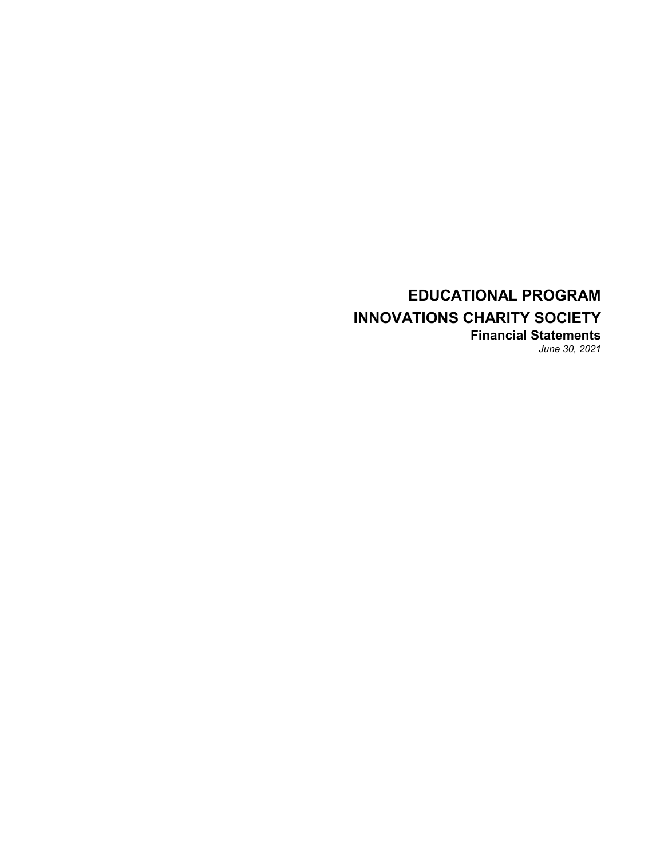### **EDUCATIONAL PROGRAM INNOVATIONS CHARITY SOCIETY Financial Statements** *June 30, 2021*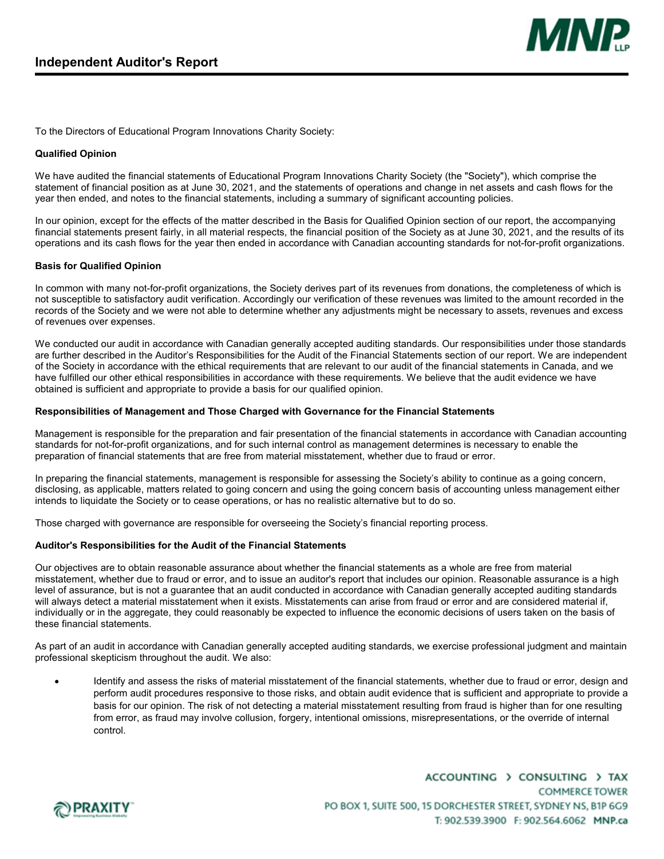

To the Directors of Educational Program Innovations Charity Society:

#### **Qualified Opinion**

We have audited the financial statements of Educational Program Innovations Charity Society (the "Society"), which comprise the statement of financial position as at June 30, 2021, and the statements of operations and change in net assets and cash flows for the year then ended, and notes to the financial statements, including a summary of significant accounting policies.

In our opinion, except for the effects of the matter described in the Basis for Qualified Opinion section of our report, the accompanying financial statements present fairly, in all material respects, the financial position of the Society as at June 30, 2021, and the results of its operations and its cash flows for the year then ended in accordance with Canadian accounting standards for not-for-profit organizations.

#### **Basis for Qualified Opinion**

In common with many not-for-profit organizations, the Society derives part of its revenues from donations, the completeness of which is not susceptible to satisfactory audit verification. Accordingly our verification of these revenues was limited to the amount recorded in the records of the Society and we were not able to determine whether any adjustments might be necessary to assets, revenues and excess of revenues over expenses.

We conducted our audit in accordance with Canadian generally accepted auditing standards. Our responsibilities under those standards are further described in the Auditor's Responsibilities for the Audit of the Financial Statements section of our report. We are independent of the Society in accordance with the ethical requirements that are relevant to our audit of the financial statements in Canada, and we have fulfilled our other ethical responsibilities in accordance with these requirements. We believe that the audit evidence we have obtained is sufficient and appropriate to provide a basis for our qualified opinion.

#### **Responsibilities of Management and Those Charged with Governance for the Financial Statements**

Management is responsible for the preparation and fair presentation of the financial statements in accordance with Canadian accounting standards for not-for-profit organizations, and for such internal control as management determines is necessary to enable the preparation of financial statements that are free from material misstatement, whether due to fraud or error.

In preparing the financial statements, management is responsible for assessing the Society's ability to continue as a going concern, disclosing, as applicable, matters related to going concern and using the going concern basis of accounting unless management either intends to liquidate the Society or to cease operations, or has no realistic alternative but to do so.

Those charged with governance are responsible for overseeing the Society's financial reporting process.

#### **Auditor's Responsibilities for the Audit of the Financial Statements**

Our objectives are to obtain reasonable assurance about whether the financial statements as a whole are free from material misstatement, whether due to fraud or error, and to issue an auditor's report that includes our opinion. Reasonable assurance is a high level of assurance, but is not a guarantee that an audit conducted in accordance with Canadian generally accepted auditing standards will always detect a material misstatement when it exists. Misstatements can arise from fraud or error and are considered material if, individually or in the aggregate, they could reasonably be expected to influence the economic decisions of users taken on the basis of these financial statements.

As part of an audit in accordance with Canadian generally accepted auditing standards, we exercise professional judgment and maintain professional skepticism throughout the audit. We also:

 Identify and assess the risks of material misstatement of the financial statements, whether due to fraud or error, design and perform audit procedures responsive to those risks, and obtain audit evidence that is sufficient and appropriate to provide a basis for our opinion. The risk of not detecting a material misstatement resulting from fraud is higher than for one resulting from error, as fraud may involve collusion, forgery, intentional omissions, misrepresentations, or the override of internal control.



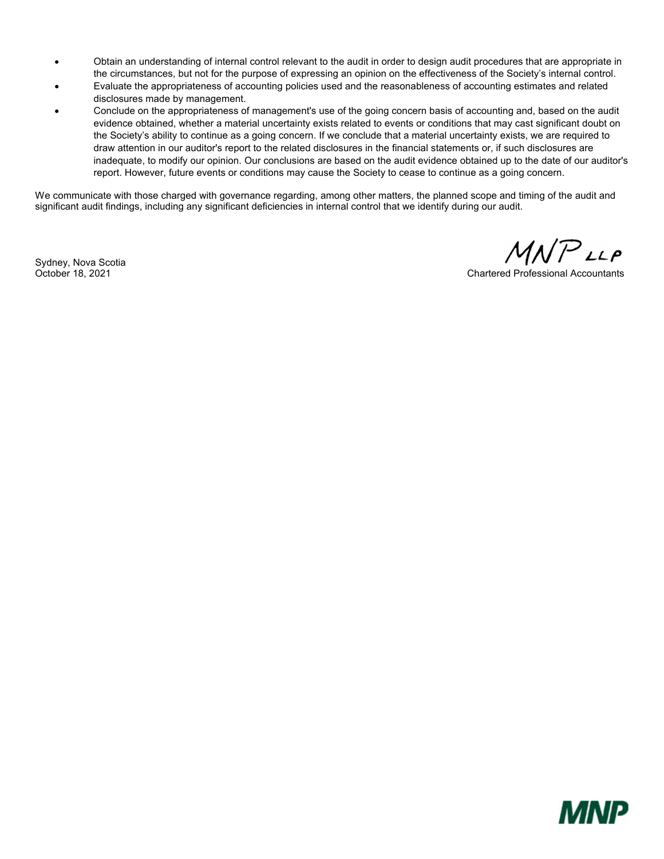- Obtain an understanding of internal control relevant to the audit in order to design audit procedures that are appropriate in the circumstances, but not for the purpose of expressing an opinion on the effectiveness of the Society's internal control.
- Evaluate the appropriateness of accounting policies used and the reasonableness of accounting estimates and related disclosures made by management.
- Conclude on the appropriateness of management's use of the going concern basis of accounting and, based on the audit evidence obtained, whether a material uncertainty exists related to events or conditions that may cast significant doubt on the Society's ability to continue as a going concern. If we conclude that a material uncertainty exists, we are required to draw attention in our auditor's report to the related disclosures in the financial statements or, if such disclosures are inadequate, to modify our opinion. Our conclusions are based on the audit evidence obtained up to the date of our auditor's report. However, future events or conditions may cause the Society to cease to continue as a going concern.

We communicate with those charged with governance regarding, among other matters, the planned scope and timing of the audit and significant audit findings, including any significant deficiencies in internal control that we identify during our audit.

Sydney, Nova Scotia

MNPLLP

October 18, 2021 Chartered Professional Accountants

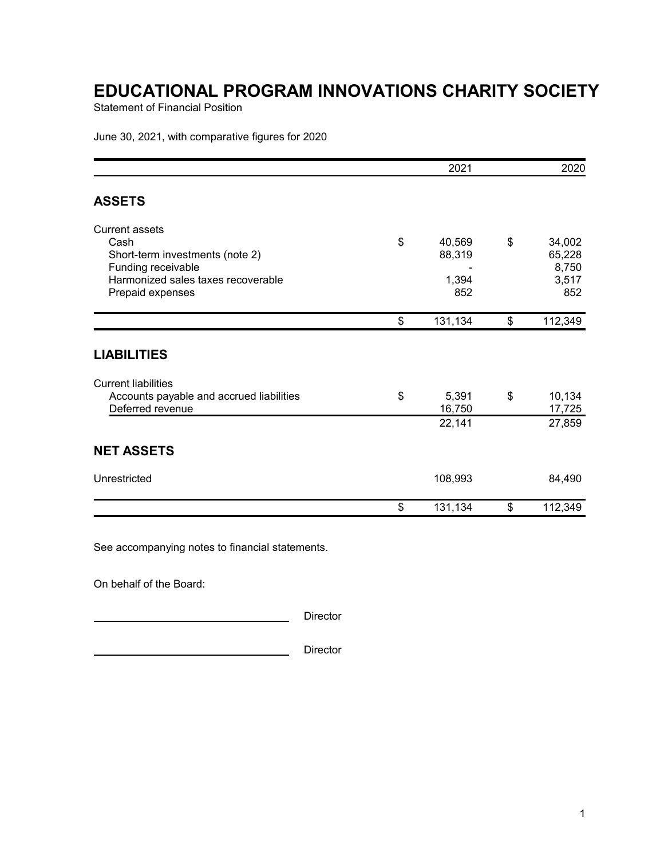Statement of Financial Position

June 30, 2021, with comparative figures for 2020

|                                                                                                                                                  | 2021                                   | 2020                                            |
|--------------------------------------------------------------------------------------------------------------------------------------------------|----------------------------------------|-------------------------------------------------|
| <b>ASSETS</b>                                                                                                                                    |                                        |                                                 |
| <b>Current assets</b><br>Cash<br>Short-term investments (note 2)<br>Funding receivable<br>Harmonized sales taxes recoverable<br>Prepaid expenses | \$<br>40,569<br>88,319<br>1,394<br>852 | \$<br>34,002<br>65,228<br>8,750<br>3,517<br>852 |
|                                                                                                                                                  | \$<br>131,134                          | \$<br>112,349                                   |
| <b>LIABILITIES</b>                                                                                                                               |                                        |                                                 |
| <b>Current liabilities</b><br>Accounts payable and accrued liabilities<br>Deferred revenue                                                       | \$<br>5,391<br>16,750<br>22,141        | \$<br>10,134<br>17,725<br>27,859                |
| <b>NET ASSETS</b>                                                                                                                                |                                        |                                                 |
| Unrestricted                                                                                                                                     | 108,993                                | 84,490                                          |
|                                                                                                                                                  | \$<br>131,134                          | \$<br>112,349                                   |

See accompanying notes to financial statements.

On behalf of the Board:

**Director** Director

**Director** Director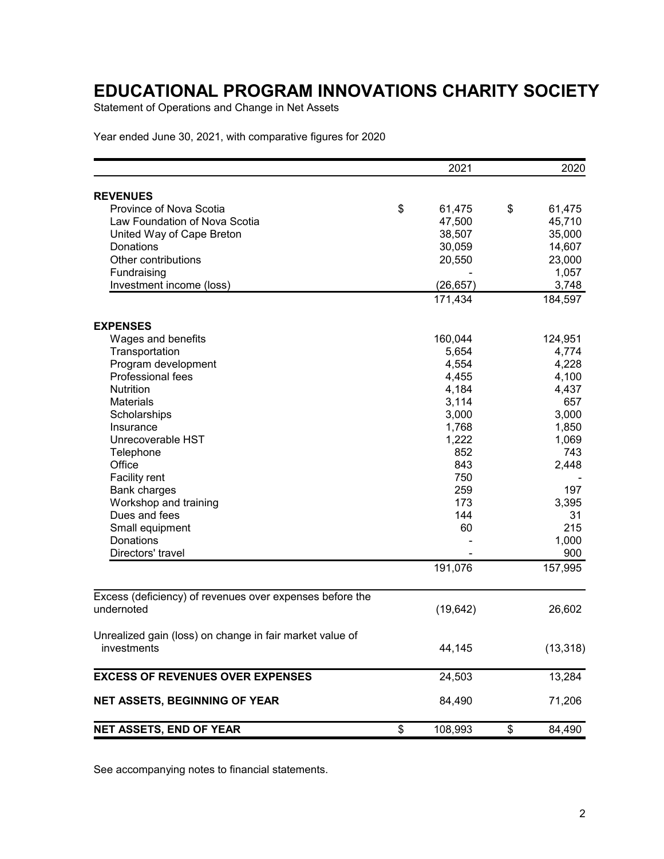Statement of Operations and Change in Net Assets

Year ended June 30, 2021, with comparative figures for 2020

|                                                          |    | 2021      |    | 2020      |  |  |
|----------------------------------------------------------|----|-----------|----|-----------|--|--|
| <b>REVENUES</b>                                          |    |           |    |           |  |  |
| Province of Nova Scotia                                  | \$ | 61,475    | \$ | 61,475    |  |  |
| Law Foundation of Nova Scotia                            |    | 47,500    |    | 45,710    |  |  |
| United Way of Cape Breton                                |    | 38,507    |    | 35,000    |  |  |
| Donations                                                |    | 30,059    |    | 14,607    |  |  |
| Other contributions                                      |    | 20,550    |    | 23,000    |  |  |
| Fundraising                                              |    |           |    | 1,057     |  |  |
| Investment income (loss)                                 |    | (26, 657) |    | 3,748     |  |  |
|                                                          |    | 171,434   |    | 184,597   |  |  |
| <b>EXPENSES</b>                                          |    |           |    |           |  |  |
| Wages and benefits                                       |    | 160,044   |    | 124,951   |  |  |
| Transportation                                           |    | 5,654     |    | 4,774     |  |  |
| Program development                                      |    | 4,554     |    | 4,228     |  |  |
| Professional fees                                        |    | 4,455     |    | 4,100     |  |  |
| <b>Nutrition</b>                                         |    | 4,184     |    | 4,437     |  |  |
| <b>Materials</b>                                         |    | 3,114     |    | 657       |  |  |
| Scholarships                                             |    | 3,000     |    | 3,000     |  |  |
| Insurance                                                |    | 1,768     |    | 1,850     |  |  |
| Unrecoverable HST                                        |    | 1,222     |    | 1,069     |  |  |
| Telephone                                                |    | 852       |    | 743       |  |  |
| Office                                                   |    | 843       |    | 2,448     |  |  |
| Facility rent                                            |    | 750       |    |           |  |  |
| <b>Bank charges</b>                                      |    | 259       |    | 197       |  |  |
| Workshop and training                                    |    | 173       |    | 3,395     |  |  |
| Dues and fees                                            |    | 144       |    | 31        |  |  |
| Small equipment                                          |    | 60        |    | 215       |  |  |
| Donations                                                |    |           |    | 1,000     |  |  |
| Directors' travel                                        |    |           |    | 900       |  |  |
|                                                          |    | 191,076   |    | 157,995   |  |  |
| Excess (deficiency) of revenues over expenses before the |    |           |    |           |  |  |
| undernoted                                               |    | (19, 642) |    | 26,602    |  |  |
| Unrealized gain (loss) on change in fair market value of |    |           |    |           |  |  |
| investments                                              |    | 44,145    |    | (13, 318) |  |  |
| <b>EXCESS OF REVENUES OVER EXPENSES</b>                  |    | 24,503    |    |           |  |  |
| <b>NET ASSETS, BEGINNING OF YEAR</b>                     |    | 84,490    |    | 71,206    |  |  |
| NET ASSETS, END OF YEAR                                  | \$ | 108,993   | \$ | 84,490    |  |  |

See accompanying notes to financial statements.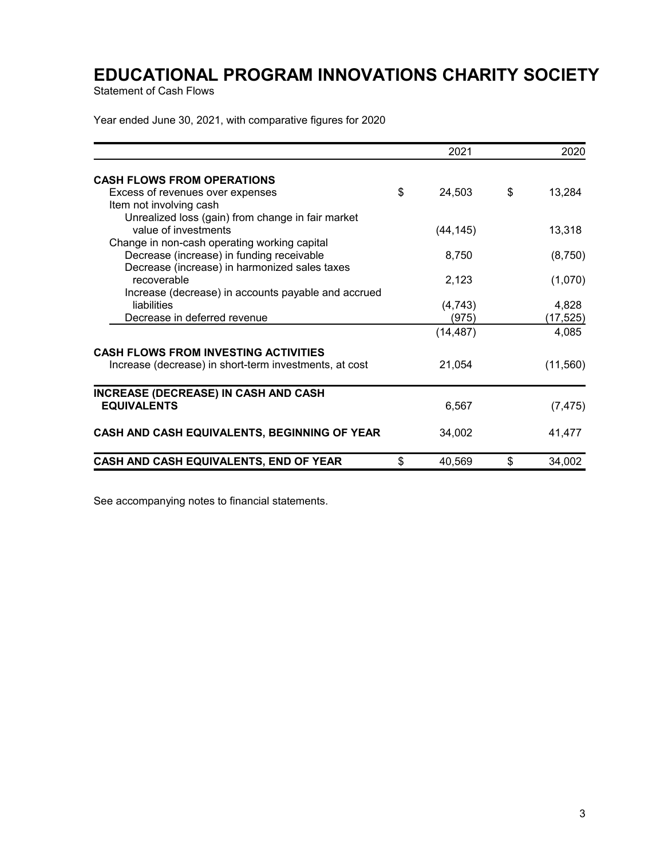Statement of Cash Flows

Year ended June 30, 2021, with comparative figures for 2020

| 2021         |                                                                                   | 2020     |
|--------------|-----------------------------------------------------------------------------------|----------|
|              |                                                                                   |          |
| \$<br>24,503 | \$                                                                                | 13,284   |
|              |                                                                                   |          |
|              |                                                                                   |          |
|              |                                                                                   | 13,318   |
|              |                                                                                   |          |
|              |                                                                                   | (8,750)  |
|              |                                                                                   |          |
|              |                                                                                   | (1,070)  |
|              |                                                                                   | 4,828    |
|              |                                                                                   | (17,525) |
|              |                                                                                   | 4,085    |
|              |                                                                                   |          |
|              |                                                                                   |          |
|              |                                                                                   | (11,560) |
|              |                                                                                   |          |
| 6,567        |                                                                                   | (7, 475) |
| 34,002       |                                                                                   | 41,477   |
|              |                                                                                   | 34,002   |
| \$           | (44, 145)<br>8,750<br>2.123<br>(4, 743)<br>(975)<br>(14, 487)<br>21,054<br>40,569 | \$       |

See accompanying notes to financial statements.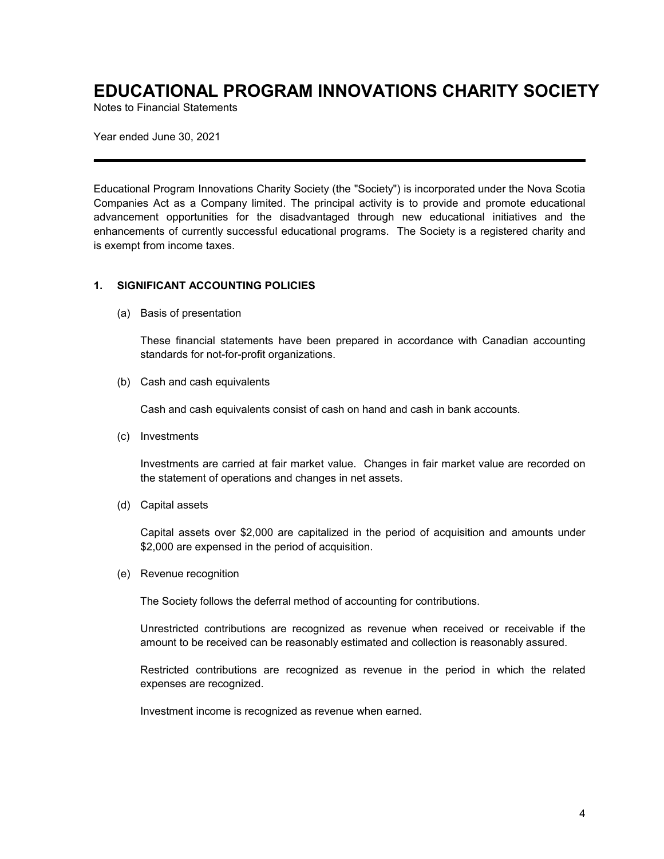Notes to Financial Statements

Year ended June 30, 2021

Educational Program Innovations Charity Society (the "Society") is incorporated under the Nova Scotia Companies Act as a Company limited. The principal activity is to provide and promote educational advancement opportunities for the disadvantaged through new educational initiatives and the enhancements of currently successful educational programs. The Society is a registered charity and is exempt from income taxes.

### **1. SIGNIFICANT ACCOUNTING POLICIES**

(a) Basis of presentation

These financial statements have been prepared in accordance with Canadian accounting standards for not-for-profit organizations.

(b) Cash and cash equivalents

Cash and cash equivalents consist of cash on hand and cash in bank accounts.

(c) Investments

Investments are carried at fair market value. Changes in fair market value are recorded on the statement of operations and changes in net assets.

(d) Capital assets

Capital assets over \$2,000 are capitalized in the period of acquisition and amounts under \$2,000 are expensed in the period of acquisition.

(e) Revenue recognition

The Society follows the deferral method of accounting for contributions.

Unrestricted contributions are recognized as revenue when received or receivable if the amount to be received can be reasonably estimated and collection is reasonably assured.

Restricted contributions are recognized as revenue in the period in which the related expenses are recognized.

Investment income is recognized as revenue when earned.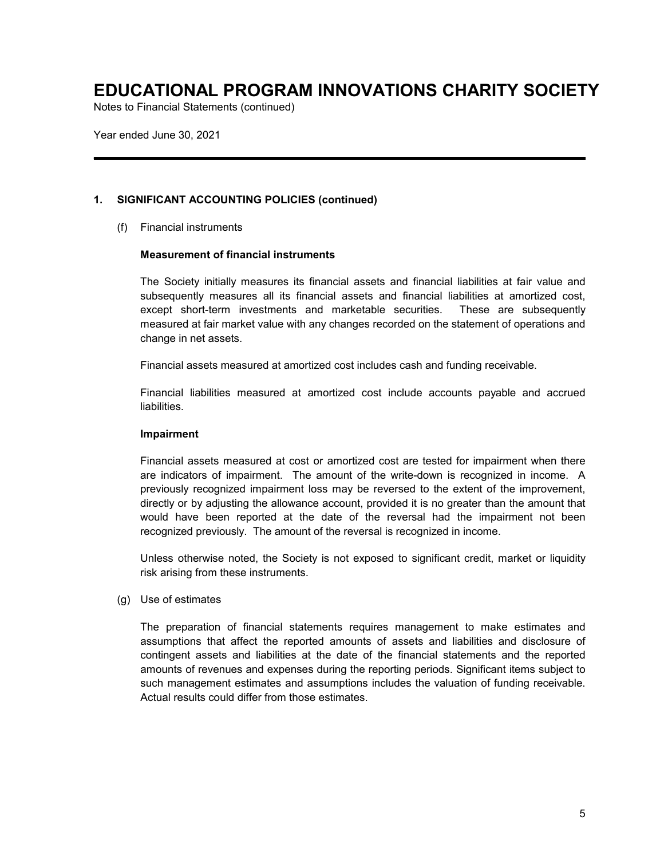Notes to Financial Statements (continued)

Year ended June 30, 2021

### **1. SIGNIFICANT ACCOUNTING POLICIES (continued)**

(f) Financial instruments

#### **Measurement of financial instruments**

The Society initially measures its financial assets and financial liabilities at fair value and subsequently measures all its financial assets and financial liabilities at amortized cost, except short-term investments and marketable securities. These are subsequently measured at fair market value with any changes recorded on the statement of operations and change in net assets.

Financial assets measured at amortized cost includes cash and funding receivable.

Financial liabilities measured at amortized cost include accounts payable and accrued liabilities.

#### **Impairment**

Financial assets measured at cost or amortized cost are tested for impairment when there are indicators of impairment. The amount of the write-down is recognized in income. A previously recognized impairment loss may be reversed to the extent of the improvement, directly or by adjusting the allowance account, provided it is no greater than the amount that would have been reported at the date of the reversal had the impairment not been recognized previously. The amount of the reversal is recognized in income.

Unless otherwise noted, the Society is not exposed to significant credit, market or liquidity risk arising from these instruments.

(g) Use of estimates

The preparation of financial statements requires management to make estimates and assumptions that affect the reported amounts of assets and liabilities and disclosure of contingent assets and liabilities at the date of the financial statements and the reported amounts of revenues and expenses during the reporting periods. Significant items subject to such management estimates and assumptions includes the valuation of funding receivable. Actual results could differ from those estimates.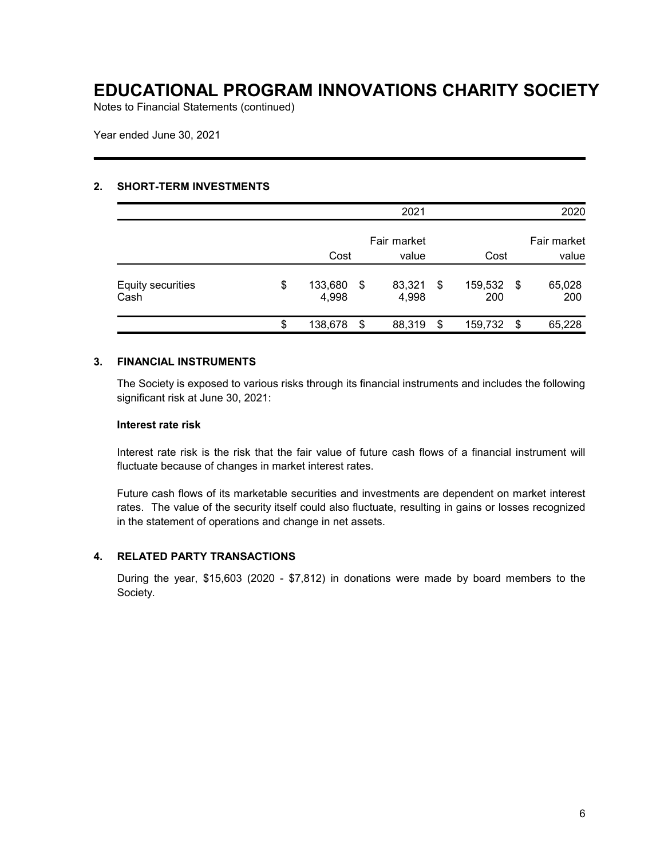Notes to Financial Statements (continued)

Year ended June 30, 2021

#### **2. SHORT-TERM INVESTMENTS**

|                                  |                              |    | 2021            |     |                |     | 2020                 |  |
|----------------------------------|------------------------------|----|-----------------|-----|----------------|-----|----------------------|--|
|                                  | Fair market<br>Cost<br>value |    |                 |     | Cost           |     | Fair market<br>value |  |
| <b>Equity securities</b><br>Cash | \$<br>133,680<br>4,998       | \$ | 83,321<br>4,998 | -\$ | 159,532<br>200 | -\$ | 65,028<br>200        |  |
|                                  | \$<br>138,678                | \$ | 88,319          | \$  | 159,732        | \$  | 65,228               |  |

### **3. FINANCIAL INSTRUMENTS**

The Society is exposed to various risks through its financial instruments and includes the following significant risk at June 30, 2021:

### **Interest rate risk**

Interest rate risk is the risk that the fair value of future cash flows of a financial instrument will fluctuate because of changes in market interest rates.

Future cash flows of its marketable securities and investments are dependent on market interest rates. The value of the security itself could also fluctuate, resulting in gains or losses recognized in the statement of operations and change in net assets.

#### **4. RELATED PARTY TRANSACTIONS**

During the year, \$15,603 (2020 - \$7,812) in donations were made by board members to the Society.